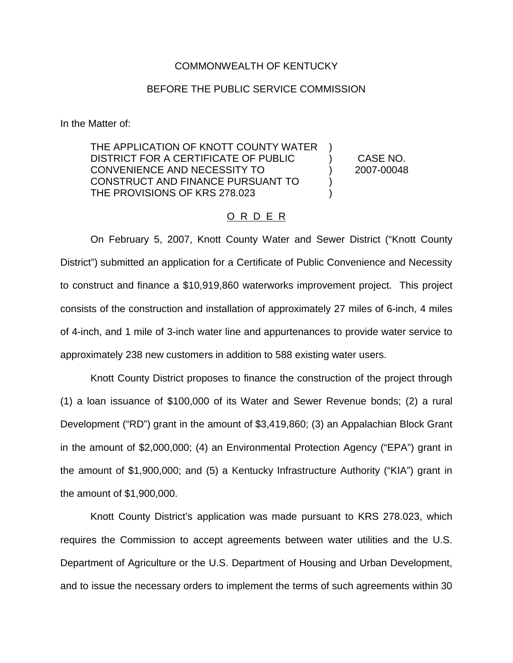#### COMMONWEALTH OF KENTUCKY

### BEFORE THE PUBLIC SERVICE COMMISSION

In the Matter of:

THE APPLICATION OF KNOTT COUNTY WATER DISTRICT FOR A CERTIFICATE OF PUBLIC CONVENIENCE AND NECESSITY TO CONSTRUCT AND FINANCE PURSUANT TO THE PROVISIONS OF KRS 278.023 ) ) ) ) )

CASE NO. 2007-00048

### O R D E R

On February 5, 2007, Knott County Water and Sewer District ("Knott County District") submitted an application for a Certificate of Public Convenience and Necessity to construct and finance a \$10,919,860 waterworks improvement project. This project consists of the construction and installation of approximately 27 miles of 6-inch, 4 miles of 4-inch, and 1 mile of 3-inch water line and appurtenances to provide water service to approximately 238 new customers in addition to 588 existing water users.

Knott County District proposes to finance the construction of the project through (1) a loan issuance of \$100,000 of its Water and Sewer Revenue bonds; (2) a rural Development ("RD") grant in the amount of \$3,419,860; (3) an Appalachian Block Grant in the amount of \$2,000,000; (4) an Environmental Protection Agency ("EPA") grant in the amount of \$1,900,000; and (5) a Kentucky Infrastructure Authority ("KIA") grant in the amount of \$1,900,000.

Knott County District's application was made pursuant to KRS 278.023, which requires the Commission to accept agreements between water utilities and the U.S. Department of Agriculture or the U.S. Department of Housing and Urban Development, and to issue the necessary orders to implement the terms of such agreements within 30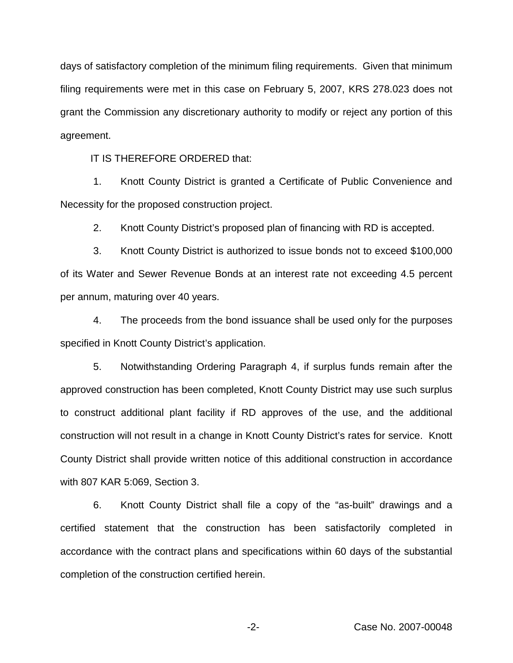days of satisfactory completion of the minimum filing requirements. Given that minimum filing requirements were met in this case on February 5, 2007, KRS 278.023 does not grant the Commission any discretionary authority to modify or reject any portion of this agreement.

IT IS THEREFORE ORDERED that:

1. Knott County District is granted a Certificate of Public Convenience and Necessity for the proposed construction project.

2. Knott County District's proposed plan of financing with RD is accepted.

3. Knott County District is authorized to issue bonds not to exceed \$100,000 of its Water and Sewer Revenue Bonds at an interest rate not exceeding 4.5 percent per annum, maturing over 40 years.

4. The proceeds from the bond issuance shall be used only for the purposes specified in Knott County District's application.

5. Notwithstanding Ordering Paragraph 4, if surplus funds remain after the approved construction has been completed, Knott County District may use such surplus to construct additional plant facility if RD approves of the use, and the additional construction will not result in a change in Knott County District's rates for service. Knott County District shall provide written notice of this additional construction in accordance with 807 KAR 5:069, Section 3.

6. Knott County District shall file a copy of the "as-built" drawings and a certified statement that the construction has been satisfactorily completed in accordance with the contract plans and specifications within 60 days of the substantial completion of the construction certified herein.

-2- Case No. 2007-00048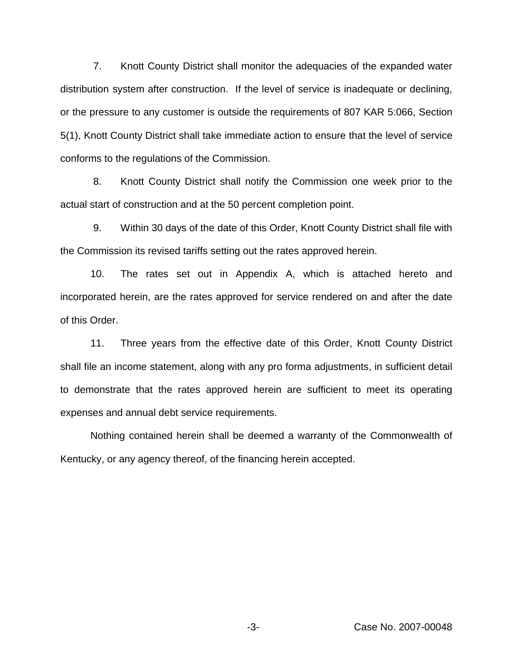7. Knott County District shall monitor the adequacies of the expanded water distribution system after construction. If the level of service is inadequate or declining, or the pressure to any customer is outside the requirements of 807 KAR 5:066, Section 5(1), Knott County District shall take immediate action to ensure that the level of service conforms to the regulations of the Commission.

8. Knott County District shall notify the Commission one week prior to the actual start of construction and at the 50 percent completion point.

9. Within 30 days of the date of this Order, Knott County District shall file with the Commission its revised tariffs setting out the rates approved herein.

10. The rates set out in Appendix A, which is attached hereto and incorporated herein, are the rates approved for service rendered on and after the date of this Order.

11. Three years from the effective date of this Order, Knott County District shall file an income statement, along with any pro forma adjustments, in sufficient detail to demonstrate that the rates approved herein are sufficient to meet its operating expenses and annual debt service requirements.

Nothing contained herein shall be deemed a warranty of the Commonwealth of Kentucky, or any agency thereof, of the financing herein accepted.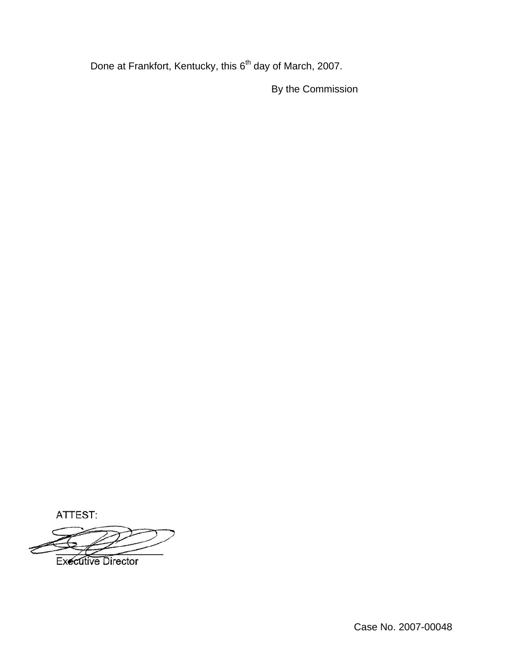Done at Frankfort, Kentucky, this 6<sup>th</sup> day of March, 2007.

By the Commission

ATTEST:

**Executive Director**